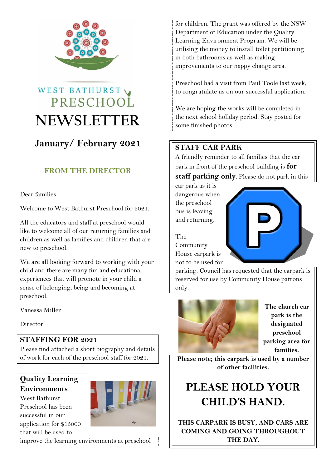

# WEST BATHURST PRESCHOOL **NEWSLETTER**

# **January/ February 2021**

## **FROM THE DIRECTOR**

Dear families

Welcome to West Bathurst Preschool for 2021.

All the educators and staff at preschool would like to welcome all of our returning families and children as well as families and children that are new to preschool.

We are all looking forward to working with your child and there are many fun and educational experiences that will promote in your child a sense of belonging, being and becoming at preschool.

Vanessa Miller

Director

### **STAFFING FOR 2021**

Please find attached a short biography and details of work for each of the preschool staff for 2021.

### **Quality Learning Environments**

West Bathurst Preschool has been successful in our application for \$15000 that will be used to



improve the learning environments at preschool

for children. The grant was offered by the NSW Department of Education under the Quality Learning Environment Program. We will be utilising the money to install toilet partitioning in both bathrooms as well as making improvements to our nappy change area.

Preschool had a visit from Paul Toole last week, to congratulate us on our successful application.

We are hoping the works will be completed in the next school holiday period. Stay posted for some finished photos.

## **STAFF CAR PARK**

A friendly reminder to all families that the car park in front of the preschool building is **for** 

**staff parking only**. Please do not park in this

car park as it is dangerous when the preschool bus is leaving and returning.



The Community House carpark is not to be used for

parking. Council has requested that the carpark is reserved for use by Community House patrons only.



**The church car park is the designated preschool parking area for families.**

**Please note; this carpark is used by a number of other facilities.** 

# **PLEASE HOLD YOUR CHILD'S HAND.**

**THIS CARPARK IS BUSY, AND CARS ARE COMING AND GOING THROUGHOUT THE DAY.**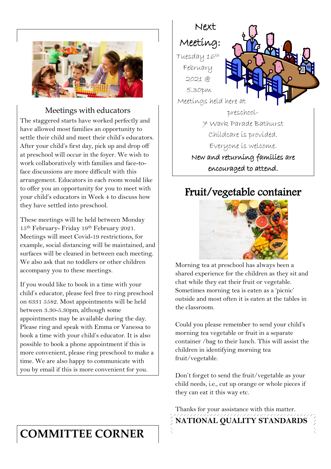

### Meetings with educators

The staggered starts have worked perfectly and have allowed most families an opportunity to settle their child and meet their child's educators. After your child's first day, pick up and drop off at preschool will occur in the foyer. We wish to work collaboratively with families and face-toface discussions are more difficult with this arrangement. Educators in each room would like to offer you an opportunity for you to meet with your child's educators in Week 4 to discuss how they have settled into preschool.

These meetings will be held between Monday 15th February- Friday 19th February 2021. Meetings will meet Covid-19 restrictions, for example, social distancing will be maintained, and surfaces will be cleaned in between each meeting. We also ask that no toddlers or other children accompany you to these meetings.

If you would like to book in a time with your child's educator, please feel free to ring preschool on 6331 5582. Most appointments will be held between 3.30-5.30pm, although some appointments may be available during the day. Please ring and speak with Emma or Vanessa to book a time with your child's educator. It is also possible to book a phone appointment if this is more convenient, please ring preschool to make a time. We are also happy to communicate with you by email if this is more convenient for you.

# **COMMITTEE CORNER**



# Fruit/vegetable container



Morning tea at preschool has always been a shared experience for the children as they sit and chat while they eat their fruit or vegetable. Sometimes morning tea is eaten as a 'picnic' outside and most often it is eaten at the tables in the classroom.

Could you please remember to send your child's morning tea vegetable or fruit in a separate container /bag to their lunch. This will assist the children in identifying morning tea fruit/vegetable.

Don't forget to send the fruit/vegetable as your child needs, i.e., cut up orange or whole pieces if they can eat it this way etc.

Thanks for your assistance with this matter. **NATIONAL QUALITY STANDARDS**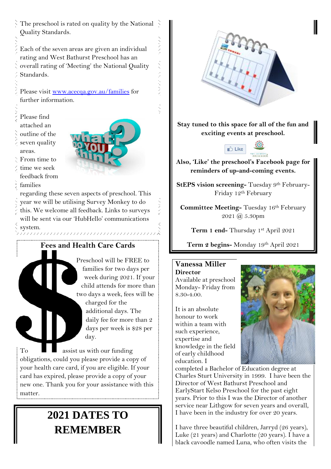Each of the seven areas are given an individual rating and West Bathurst Preschool has an overall rating of 'Meeting' the National Quality Standards.

Please visit [www.acecqa.gov.au/families](http://www.acecqa.gov.au/families) for further information.

Please find attached an outline of the seven quality areas. From time to time we seek

feedback from

ζŹ,  $\frac{1}{2}$ 

スメント

A. K. Y

families regarding these seven aspects of preschool. This

year we will be utilising Survey Monkey to do this. We welcome all feedback. Links to surveys will be sent via our 'HubHello' communications  $\sum_{\text{system}}$ 

## **Fees and Health Care Cards**

uunaannannannannannanna

Preschool will be FREE to families for two days per week during 2021. If your child attends for more than two days a week, fees will be

> charged for the additional days. The daily fee for more than 2 days per week is \$28 per day.

 $\Gamma$ <sub>o</sub>  $\blacksquare$  assist us with our funding obligations, could you please provide a copy of your health care card, if you are eligible. If your card has expired, please provide a copy of your new one. Thank you for your assistance with this matter.

# **2021 DATES TO REMEMBER**



**Stay tuned to this space for all of the fun and exciting events at preschool.**



**Also, 'Like' the preschool's Facebook page for reminders of up-and-coming events.** 

**StEPS vision screening-** Tuesday 9<sup>th</sup> February-Friday 12th February

**Committee Meeting-** Tuesday 16th February 2021 @ 5.30pm

**Term 1 end-** Thursday 1st April 2021

**Term 2 begins-** Monday 19th April 2021

### **Vanessa Miller**

**Director** Available at preschool Monday- Friday from 8.30-4.00.

It is an absolute honour to work within a team with such experience, expertise and knowledge in the field of early childhood education. I



completed a Bachelor of Education degree at Charles Sturt University in 1999. I have been the Director of West Bathurst Preschool and EarlyStart Kelso Preschool for the past eight years. Prior to this I was the Director of another service near Lithgow for seven years and overall, I have been in the industry for over 20 years.

I have three beautiful children, Jarryd (26 years), Luke (21 years) and Charlotte (20 years). I have a black cavoodle named Luna, who often visits the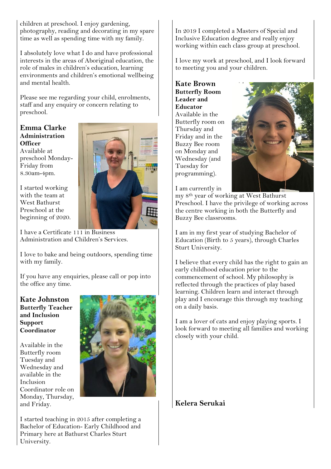children at preschool. I enjoy gardening, photography, reading and decorating in my spare time as well as spending time with my family.

I absolutely love what I do and have professional interests in the areas of Aboriginal education, the role of males in children's education, learning environments and children's emotional wellbeing and mental health.

Please see me regarding your child, enrolments, staff and any enquiry or concern relating to preschool.

**Emma Clarke Administration Officer** Available at preschool Monday-Friday from 8.30am-4pm.

I started working with the team at West Bathurst Preschool at the beginning of 2020.



I have a Certificate 111 in Business Administration and Children's Services.

I love to bake and being outdoors, spending time with my family.

If you have any enquiries, please call or pop into the office any time.

**Kate Johnston Butterfly Teacher and Inclusion Support Coordinator**

Available in the Butterfly room Tuesday and Wednesday and available in the Inclusion Coordinator role on Monday, Thursday, and Friday.



I started teaching in 2015 after completing a Bachelor of Education- Early Childhood and Primary here at Bathurst Charles Sturt University.

In 2019 I completed a Masters of Special and Inclusive Education degree and really enjoy working within each class group at preschool.

I love my work at preschool, and I look forward to meeting you and your children.

**Kate Brown Butterfly Room Leader and Educator** Available in the Butterfly room on Thursday and Friday and in the Buzzy Bee room on Monday and Wednesday (and Tuesday for programming).



I am currently in

my 8th year of working at West Bathurst Preschool. I have the privilege of working across the centre working in both the Butterfly and Buzzy Bee classrooms.

I am in my first year of studying Bachelor of Education (Birth to 5 years), through Charles Sturt University.

I believe that every child has the right to gain an early childhood education prior to the commencement of school. My philosophy is reflected through the practices of play based learning. Children learn and interact through play and I encourage this through my teaching on a daily basis.

I am a lover of cats and enjoy playing sports. I look forward to meeting all families and working closely with your child.

**Kelera Serukai**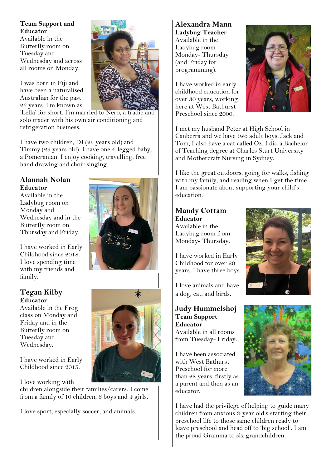**Team Support and Educator**  Available in the Butterfly room on Tuesday and Wednesday and across all rooms on Monday.

I was born in Fiji and have been a naturalised Australian for the past 26 years. I'm known as



'Lella' for short. I'm married to Nero, a tradie and solo trader with his own air conditioning and refrigeration business.

I have two children, DJ (25 years old) and Timmy (23 years old). I have one 4-legged baby, a Pomeranian. I enjoy cooking, travelling, free hand drawing and choir singing.

### **Alannah Nolan Educator**

Available in the Ladybug room on Monday and Wednesday and in the Butterfly room on Thursday and Friday.

I have worked in Early Childhood since 2018. I love spending time with my friends and family.

### **Tegan Kilby Educator**

Available in the Frog class on Monday and Friday and in the Butterfly room on Tuesday and Wednesday.

I have worked in Early Childhood since 2015.

I love working with

children alongside their families/carers. I come from a family of 10 children, 6 boys and 4 girls.

I love sport, especially soccer, and animals.

programming). I have worked in early childhood education for over 30 years, working here at West Bathurst Preschool since 2000.

**Alexandra Mann Ladybug Teacher** Available in the Ladybug room Monday- Thursday (and Friday for



I met my husband Peter at High School in Canberra and we have two adult boys, Jack and Tom, I also have a cat called Oz. I did a Bachelor of Teaching degree at Charles Sturt University and Mothercraft Nursing in Sydney.

I like the great outdoors, going for walks, fishing with my family, and reading when I get the time. I am passionate about supporting your child's education.

#### **Mandy Cottam Educator**

Available in the Ladybug room from Monday- Thursday.

I have worked in Early Childhood for over 20 years. I have three boys.

I love animals and have a dog, cat, and birds.



I have been associated with West Bathurst Preschool for more than 28 years, firstly as a parent and then as an educator.





I have had the privilege of helping to guide many children from anxious 3-year old's starting their preschool life to those same children ready to leave preschool and head off to 'big school'. I am the proud Gramma to six grandchildren.

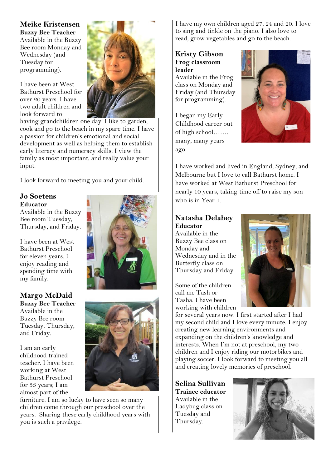**Meike Kristensen Buzzy Bee Teacher** Available in the Buzzy Bee room Monday and Wednesday (and Tuesday for programming).

I have been at West Bathurst Preschool for over 20 years. I have two adult children and look forward to



having grandchildren one day! I like to garden, cook and go to the beach in my spare time. I have a passion for children's emotional and social development as well as helping them to establish early literacy and numeracy skills. I view the family as most important, and really value your input.

I look forward to meeting you and your child.

### **Jo Soetens Educator**

Available in the Buzzy Bee room Tuesday, Thursday, and Friday.

I have been at West Bathurst Preschool for eleven years. I enjoy reading and spending time with my family.

**Margo McDaid Buzzy Bee Teacher** Available in the Buzzy Bee room Tuesday, Thursday, and Friday.

I am an early childhood trained teacher. I have been working at West Bathurst Preschool for 33 years; I am almost part of the





furniture. I am so lucky to have seen so many children come through our preschool over the years. Sharing these early childhood years with you is such a privilege.

I have my own children aged 27, 24 and 20. I love to sing and tinkle on the piano. I also love to read, grow vegetables and go to the beach.

**Kristy Gibson Frog classroom leader**

Available in the Frog class on Monday and Friday (and Thursday for programming).

I began my Early Childhood career out of high school……. many, many years ago.



I have worked and lived in England, Sydney, and Melbourne but I love to call Bathurst home. I have worked at West Bathurst Preschool for nearly 10 years, taking time off to raise my son who is in Year 1.

### **Natasha Delahey Educator**

Available in the Buzzy Bee class on Monday and Wednesday and in the Butterfly class on Thursday and Friday.

Some of the children call me Tash or Tasha. I have been working with children



for several years now. I first started after I had my second child and I love every minute. I enjoy creating new learning environments and expanding on the children's knowledge and interests. When I'm not at preschool, my two children and I enjoy riding our motorbikes and playing soccer. I look forward to meeting you all and creating lovely memories of preschool.

**Selina Sullivan Trainee educator** Available in the Ladybug class on Tuesday and Thursday.